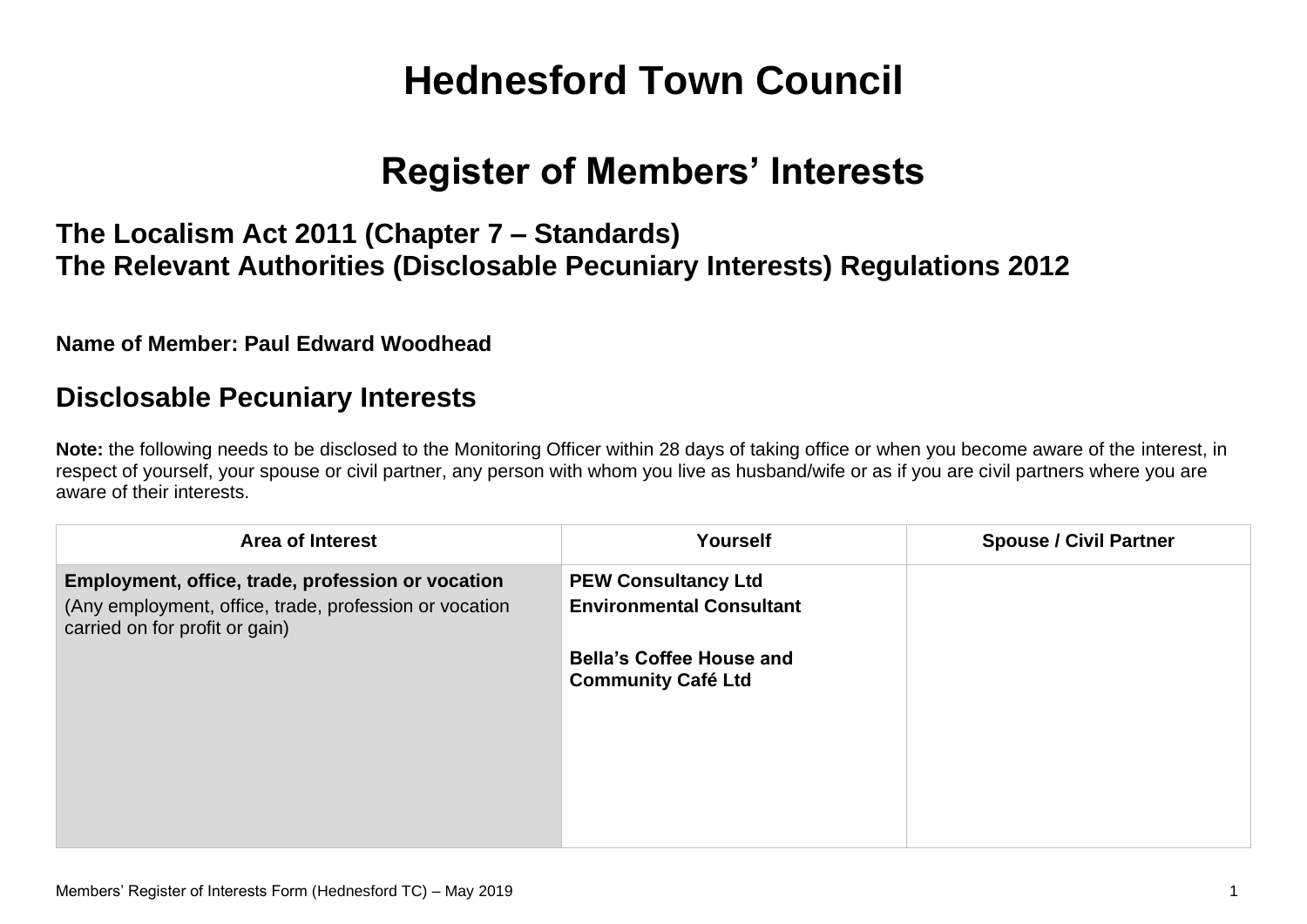# **Hednesford Town Council**

## **Register of Members' Interests**

### **The Localism Act 2011 (Chapter 7 – Standards) The Relevant Authorities (Disclosable Pecuniary Interests) Regulations 2012**

**Name of Member: Paul Edward Woodhead**

#### **Disclosable Pecuniary Interests**

**Note:** the following needs to be disclosed to the Monitoring Officer within 28 days of taking office or when you become aware of the interest, in respect of yourself, your spouse or civil partner, any person with whom you live as husband/wife or as if you are civil partners where you are aware of their interests.

| <b>Area of Interest</b>                                                                                                                       | <b>Yourself</b>                                               | <b>Spouse / Civil Partner</b> |
|-----------------------------------------------------------------------------------------------------------------------------------------------|---------------------------------------------------------------|-------------------------------|
| Employment, office, trade, profession or vocation<br>(Any employment, office, trade, profession or vocation<br>carried on for profit or gain) | <b>PEW Consultancy Ltd</b><br><b>Environmental Consultant</b> |                               |
|                                                                                                                                               | <b>Bella's Coffee House and</b><br><b>Community Café Ltd</b>  |                               |
|                                                                                                                                               |                                                               |                               |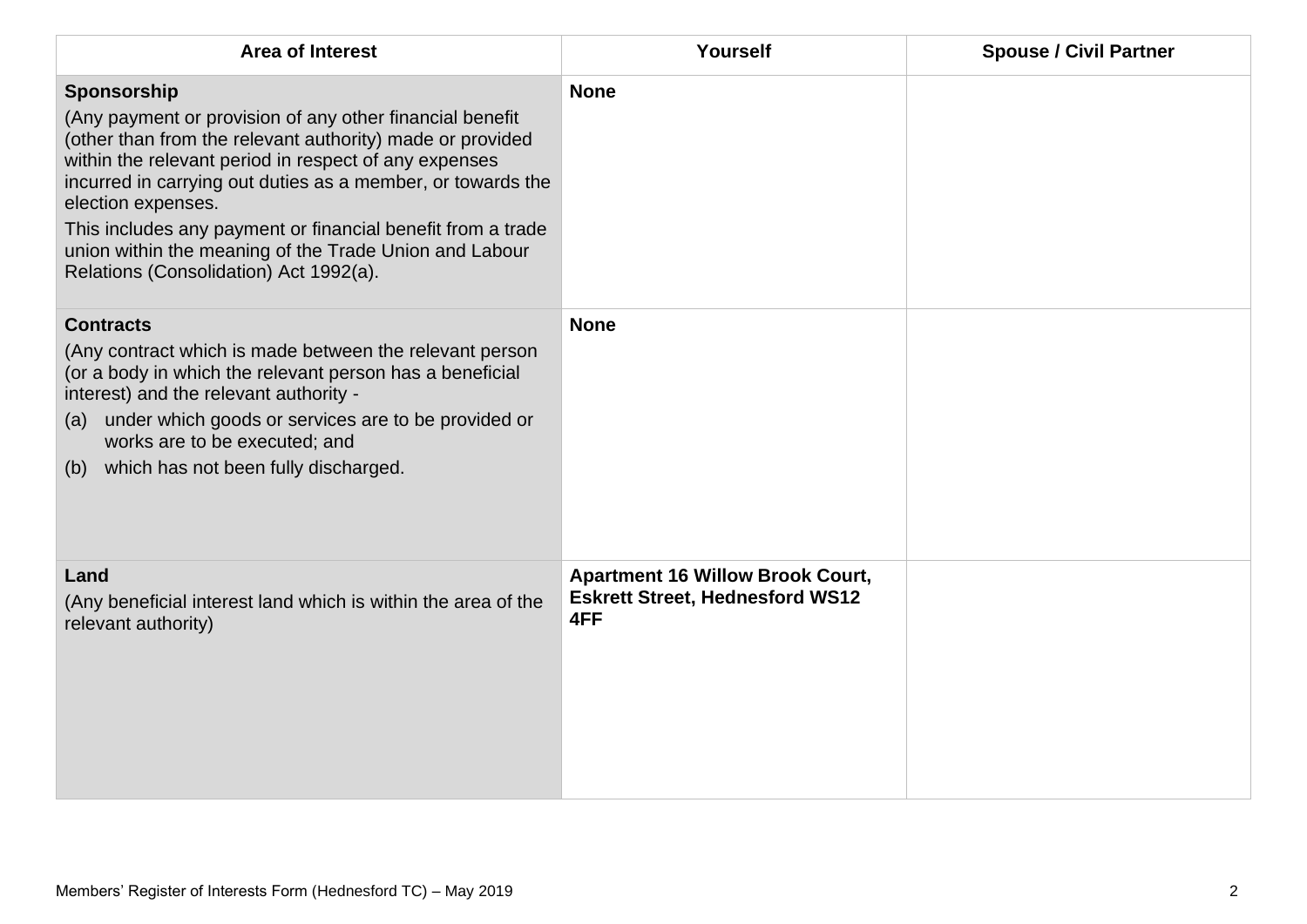| <b>Area of Interest</b>                                                                                                                                                                                                                                                                                                                                                                                                                               | Yourself                                                                                 | <b>Spouse / Civil Partner</b> |
|-------------------------------------------------------------------------------------------------------------------------------------------------------------------------------------------------------------------------------------------------------------------------------------------------------------------------------------------------------------------------------------------------------------------------------------------------------|------------------------------------------------------------------------------------------|-------------------------------|
| Sponsorship<br>(Any payment or provision of any other financial benefit<br>(other than from the relevant authority) made or provided<br>within the relevant period in respect of any expenses<br>incurred in carrying out duties as a member, or towards the<br>election expenses.<br>This includes any payment or financial benefit from a trade<br>union within the meaning of the Trade Union and Labour<br>Relations (Consolidation) Act 1992(a). | <b>None</b>                                                                              |                               |
| <b>Contracts</b><br>(Any contract which is made between the relevant person<br>(or a body in which the relevant person has a beneficial<br>interest) and the relevant authority -<br>under which goods or services are to be provided or<br>(a)<br>works are to be executed; and<br>which has not been fully discharged.<br>(b)                                                                                                                       | <b>None</b>                                                                              |                               |
| Land<br>(Any beneficial interest land which is within the area of the<br>relevant authority)                                                                                                                                                                                                                                                                                                                                                          | <b>Apartment 16 Willow Brook Court,</b><br><b>Eskrett Street, Hednesford WS12</b><br>4FF |                               |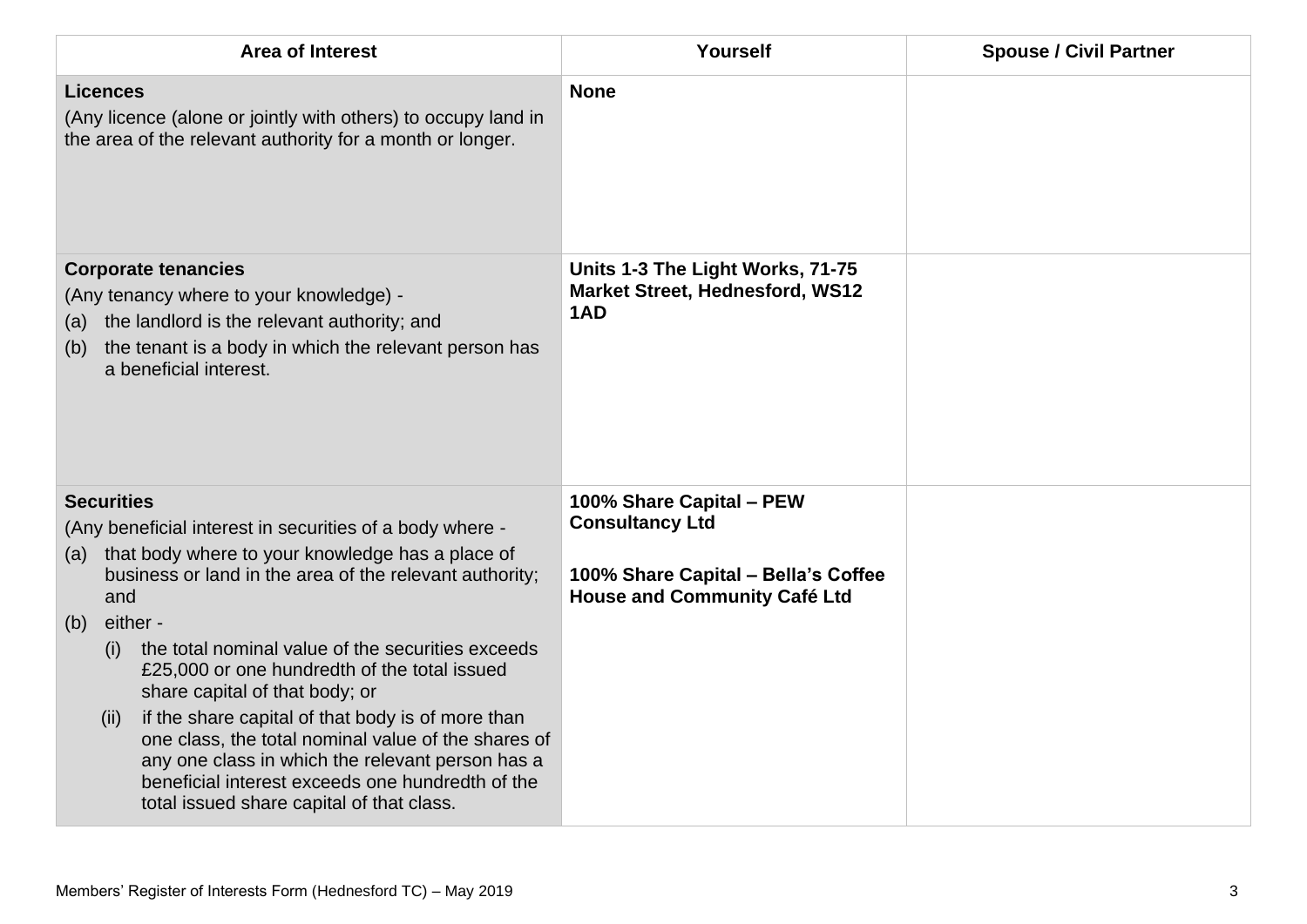| <b>Area of Interest</b>                                                                                                                                                                                                                                                                                                                                                                                                                | Yourself                                                                                                                         | <b>Spouse / Civil Partner</b> |
|----------------------------------------------------------------------------------------------------------------------------------------------------------------------------------------------------------------------------------------------------------------------------------------------------------------------------------------------------------------------------------------------------------------------------------------|----------------------------------------------------------------------------------------------------------------------------------|-------------------------------|
| <b>Licences</b><br>(Any licence (alone or jointly with others) to occupy land in<br>the area of the relevant authority for a month or longer.                                                                                                                                                                                                                                                                                          | <b>None</b>                                                                                                                      |                               |
| <b>Corporate tenancies</b><br>(Any tenancy where to your knowledge) -<br>the landlord is the relevant authority; and<br>(a)<br>the tenant is a body in which the relevant person has<br>(b)<br>a beneficial interest.                                                                                                                                                                                                                  | Units 1-3 The Light Works, 71-75<br><b>Market Street, Hednesford, WS12</b><br>1AD                                                |                               |
| <b>Securities</b><br>(Any beneficial interest in securities of a body where -<br>that body where to your knowledge has a place of<br>(a)<br>business or land in the area of the relevant authority;<br>and                                                                                                                                                                                                                             | 100% Share Capital - PEW<br><b>Consultancy Ltd</b><br>100% Share Capital - Bella's Coffee<br><b>House and Community Café Ltd</b> |                               |
| either -<br>(b)<br>the total nominal value of the securities exceeds<br>(i)<br>£25,000 or one hundredth of the total issued<br>share capital of that body; or<br>if the share capital of that body is of more than<br>(ii)<br>one class, the total nominal value of the shares of<br>any one class in which the relevant person has a<br>beneficial interest exceeds one hundredth of the<br>total issued share capital of that class. |                                                                                                                                  |                               |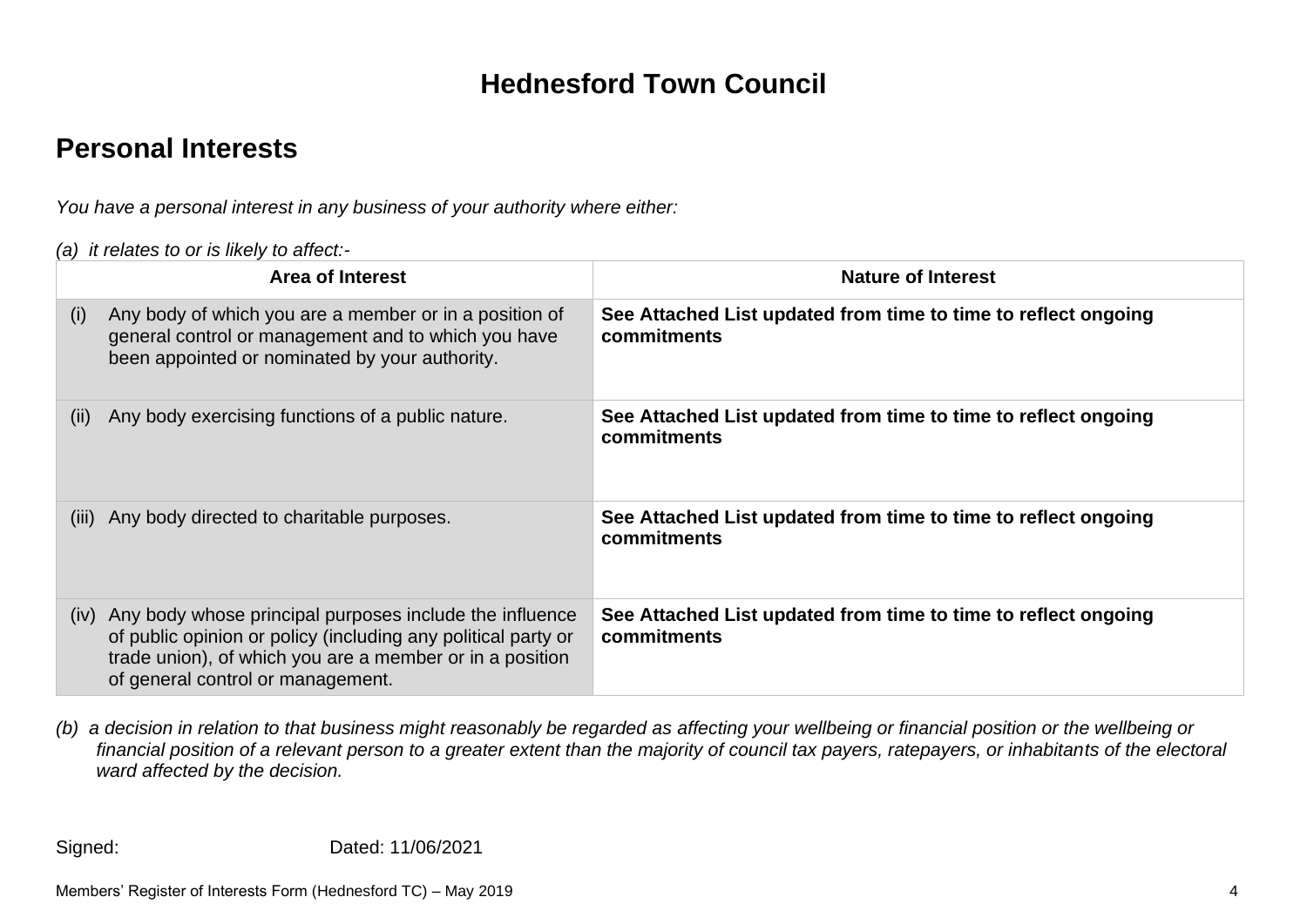### **Hednesford Town Council**

### **Personal Interests**

*You have a personal interest in any business of your authority where either:*

*(a) it relates to or is likely to affect:-*

|       | <b>Area of Interest</b>                                                                                                                                                                                                   | <b>Nature of Interest</b>                                                     |
|-------|---------------------------------------------------------------------------------------------------------------------------------------------------------------------------------------------------------------------------|-------------------------------------------------------------------------------|
| (i)   | Any body of which you are a member or in a position of<br>general control or management and to which you have<br>been appointed or nominated by your authority.                                                           | See Attached List updated from time to time to reflect ongoing<br>commitments |
| (ii)  | Any body exercising functions of a public nature.                                                                                                                                                                         | See Attached List updated from time to time to reflect ongoing<br>commitments |
| (iii) | Any body directed to charitable purposes.                                                                                                                                                                                 | See Attached List updated from time to time to reflect ongoing<br>commitments |
| (iv)  | Any body whose principal purposes include the influence<br>of public opinion or policy (including any political party or<br>trade union), of which you are a member or in a position<br>of general control or management. | See Attached List updated from time to time to reflect ongoing<br>commitments |

*(b) a decision in relation to that business might reasonably be regarded as affecting your wellbeing or financial position or the wellbeing or financial position of a relevant person to a greater extent than the majority of council tax payers, ratepayers, or inhabitants of the electoral ward affected by the decision.*

Signed: Dated: 11/06/2021

Members' Register of Interests Form (Hednesford TC) – May 2019 4